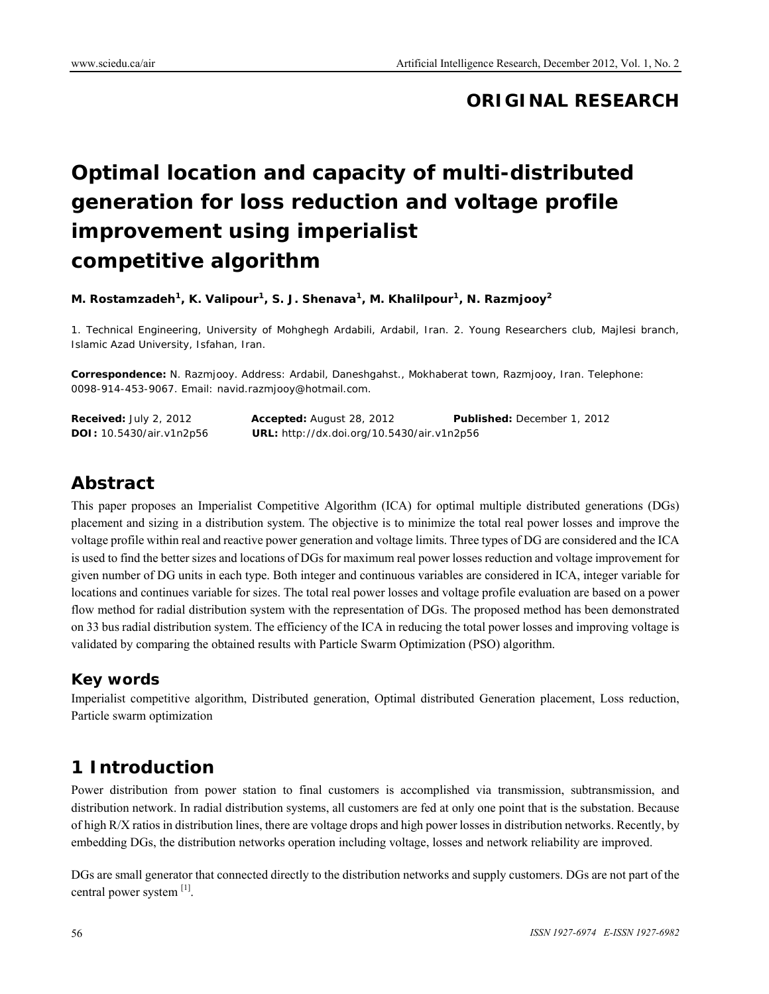# **ORIGINAL RESEARCH**

# **Optimal location and capacity of multi-distributed generation for loss reduction and voltage profile improvement using imperialist competitive algorithm**

**M. Rostamzadeh<sup>1</sup>, K. Valipour<sup>1</sup>, S. J. Shenava<sup>1</sup>, M. Khalilpour<sup>1</sup>, N. Razmjooy<sup>2</sup>** 

1. Technical Engineering, University of Mohghegh Ardabili, Ardabil, Iran. 2. Young Researchers club, Majlesi branch, Islamic Azad University, Isfahan, Iran.

**Correspondence:** N. Razmjooy. Address: Ardabil, Daneshgahst., Mokhaberat town, Razmjooy, Iran. Telephone: 0098-914-453-9067. Email: navid.razmjooy@hotmail.com.

| <b>Received: July 2, 2012</b>   | <b>Accepted:</b> August 28, 2012                  | <b>Published:</b> December 1, 2012 |
|---------------------------------|---------------------------------------------------|------------------------------------|
| <b>DOI:</b> 10.5430/air.v1n2p56 | <b>URL:</b> http://dx.doi.org/10.5430/air.v1n2p56 |                                    |

# **Abstract**

This paper proposes an Imperialist Competitive Algorithm (ICA) for optimal multiple distributed generations (DGs) placement and sizing in a distribution system. The objective is to minimize the total real power losses and improve the voltage profile within real and reactive power generation and voltage limits. Three types of DG are considered and the ICA is used to find the better sizes and locations of DGs for maximum real power losses reduction and voltage improvement for given number of DG units in each type. Both integer and continuous variables are considered in ICA, integer variable for locations and continues variable for sizes. The total real power losses and voltage profile evaluation are based on a power flow method for radial distribution system with the representation of DGs. The proposed method has been demonstrated on 33 bus radial distribution system. The efficiency of the ICA in reducing the total power losses and improving voltage is validated by comparing the obtained results with Particle Swarm Optimization (PSO) algorithm.

## **Key words**

Imperialist competitive algorithm, Distributed generation, Optimal distributed Generation placement, Loss reduction, Particle swarm optimization

# **1 Introduction**

Power distribution from power station to final customers is accomplished via transmission, subtransmission, and distribution network. In radial distribution systems, all customers are fed at only one point that is the substation. Because of high R/X ratios in distribution lines, there are voltage drops and high power losses in distribution networks. Recently, by embedding DGs, the distribution networks operation including voltage, losses and network reliability are improved.

DGs are small generator that connected directly to the distribution networks and supply customers. DGs are not part of the central power system  $^{[1]}$ .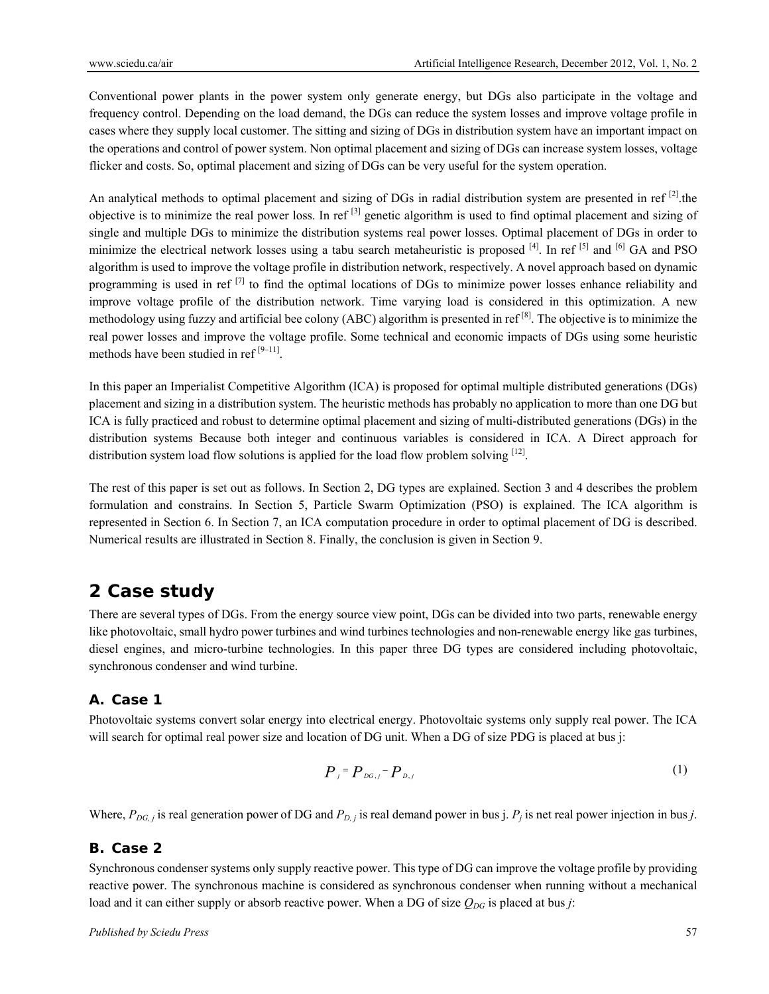Conventional power plants in the power system only generate energy, but DGs also participate in the voltage and frequency control. Depending on the load demand, the DGs can reduce the system losses and improve voltage profile in cases where they supply local customer. The sitting and sizing of DGs in distribution system have an important impact on the operations and control of power system. Non optimal placement and sizing of DGs can increase system losses, voltage flicker and costs. So, optimal placement and sizing of DGs can be very useful for the system operation.

An analytical methods to optimal placement and sizing of DGs in radial distribution system are presented in ref  $^{[2]}$  the objective is to minimize the real power loss. In ref [3] genetic algorithm is used to find optimal placement and sizing of single and multiple DGs to minimize the distribution systems real power losses. Optimal placement of DGs in order to minimize the electrical network losses using a tabu search metaheuristic is proposed [4]. In ref [5] and [6] GA and PSO algorithm is used to improve the voltage profile in distribution network, respectively. A novel approach based on dynamic programming is used in ref<sup> $[7]$ </sup> to find the optimal locations of DGs to minimize power losses enhance reliability and improve voltage profile of the distribution network. Time varying load is considered in this optimization. A new methodology using fuzzy and artificial bee colony (ABC) algorithm is presented in ref<sup>[8]</sup>. The objective is to minimize the real power losses and improve the voltage profile. Some technical and economic impacts of DGs using some heuristic methods have been studied in ref $[9-11]$ .

In this paper an Imperialist Competitive Algorithm (ICA) is proposed for optimal multiple distributed generations (DGs) placement and sizing in a distribution system. The heuristic methods has probably no application to more than one DG but ICA is fully practiced and robust to determine optimal placement and sizing of multi-distributed generations (DGs) in the distribution systems Because both integer and continuous variables is considered in ICA. A Direct approach for distribution system load flow solutions is applied for the load flow problem solving  $[12]$ .

The rest of this paper is set out as follows. In Section 2, DG types are explained. Section 3 and 4 describes the problem formulation and constrains. In Section 5, Particle Swarm Optimization (PSO) is explained. The ICA algorithm is represented in Section 6. In Section 7, an ICA computation procedure in order to optimal placement of DG is described. Numerical results are illustrated in Section 8. Finally, the conclusion is given in Section 9.

# **2 Case study**

There are several types of DGs. From the energy source view point, DGs can be divided into two parts, renewable energy like photovoltaic, small hydro power turbines and wind turbines technologies and non-renewable energy like gas turbines, diesel engines, and micro-turbine technologies. In this paper three DG types are considered including photovoltaic, synchronous condenser and wind turbine.

## **A. Case 1**

Photovoltaic systems convert solar energy into electrical energy. Photovoltaic systems only supply real power. The ICA will search for optimal real power size and location of DG unit. When a DG of size PDG is placed at bus j:

$$
P_j = P_{DG,j} - P_{D,j} \tag{1}
$$

Where,  $P_{DG_i}$  is real generation power of DG and  $P_{D_i}$  is real demand power in bus *j*.  $P_i$  is net real power injection in bus *j*.

#### **B. Case 2**

Synchronous condenser systems only supply reactive power. This type of DG can improve the voltage profile by providing reactive power. The synchronous machine is considered as synchronous condenser when running without a mechanical load and it can either supply or absorb reactive power. When a DG of size  $Q_{DG}$  is placed at bus *j*: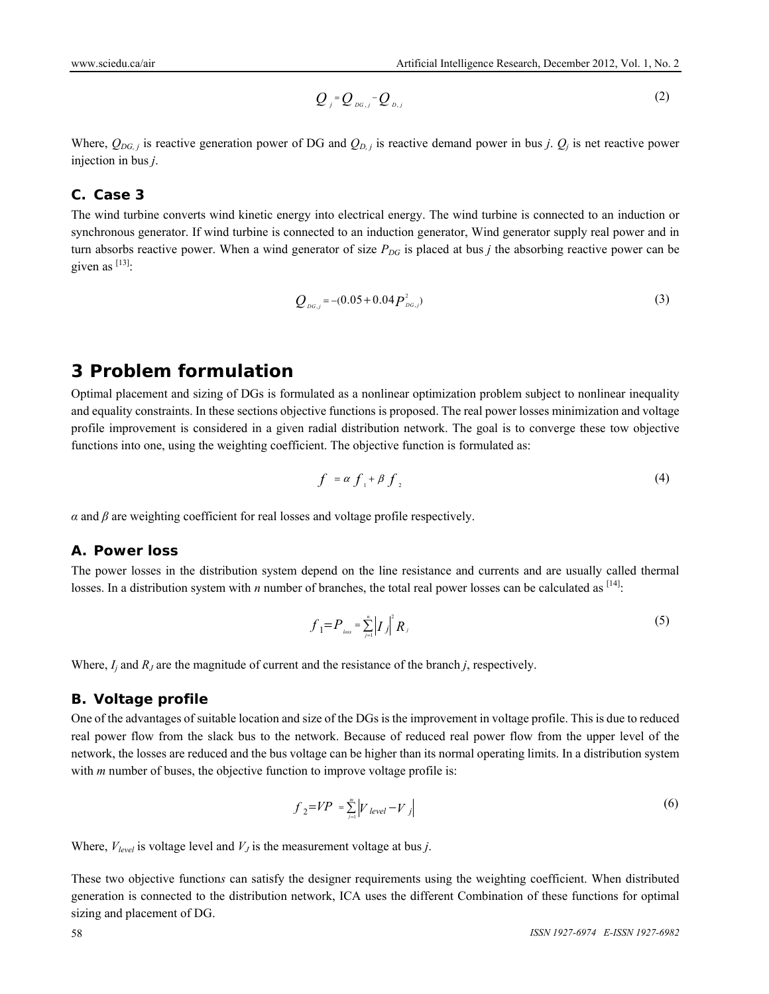$$
Q_j = Q_{D^c,j} - Q_{D,j} \tag{2}
$$

Where,  $Q_{DG,j}$  is reactive generation power of DG and  $Q_{D,j}$  is reactive demand power in bus *j*.  $Q_j$  is net reactive power injection in bus *j*.

#### **C. Case 3**

The wind turbine converts wind kinetic energy into electrical energy. The wind turbine is connected to an induction or synchronous generator. If wind turbine is connected to an induction generator, Wind generator supply real power and in turn absorbs reactive power. When a wind generator of size  $P_{DG}$  is placed at bus *j* the absorbing reactive power can be given as  $^{[13]}\cdot$ 

$$
Q_{_{DG,j}} = -(0.05 + 0.04 P_{_{DG,j}}^{2})
$$
\n(3)

# **3 Problem formulation**

Optimal placement and sizing of DGs is formulated as a nonlinear optimization problem subject to nonlinear inequality and equality constraints. In these sections objective functions is proposed. The real power losses minimization and voltage profile improvement is considered in a given radial distribution network. The goal is to converge these tow objective functions into one, using the weighting coefficient. The objective function is formulated as:

$$
f = \alpha f_{1} + \beta f_{2} \tag{4}
$$

*α* and *β* are weighting coefficient for real losses and voltage profile respectively.

#### **A. Power loss**

The power losses in the distribution system depend on the line resistance and currents and are usually called thermal losses. In a distribution system with *n* number of branches, the total real power losses can be calculated as  $[14]$ .

$$
f_1 = P_{\text{loss}} = \sum_{j=1}^{n} \left| I_j \right|^2 R_j \tag{5}
$$

Where,  $I_i$  and  $R_j$  are the magnitude of current and the resistance of the branch *j*, respectively.

#### **B. Voltage profile**

One of the advantages of suitable location and size of the DGs is the improvement in voltage profile. This is due to reduced real power flow from the slack bus to the network. Because of reduced real power flow from the upper level of the network, the losses are reduced and the bus voltage can be higher than its normal operating limits. In a distribution system with *m* number of buses, the objective function to improve voltage profile is:

$$
f_2 = VP = \sum_{j=1}^{m} \left| V_{level} - V_j \right| \tag{6}
$$

Where,  $V_{level}$  is voltage level and  $V_J$  is the measurement voltage at bus *j*.

These two objective function*s* can satisfy the designer requirements using the weighting coefficient. When distributed generation is connected to the distribution network, ICA uses the different Combination of these functions for optimal sizing and placement of DG.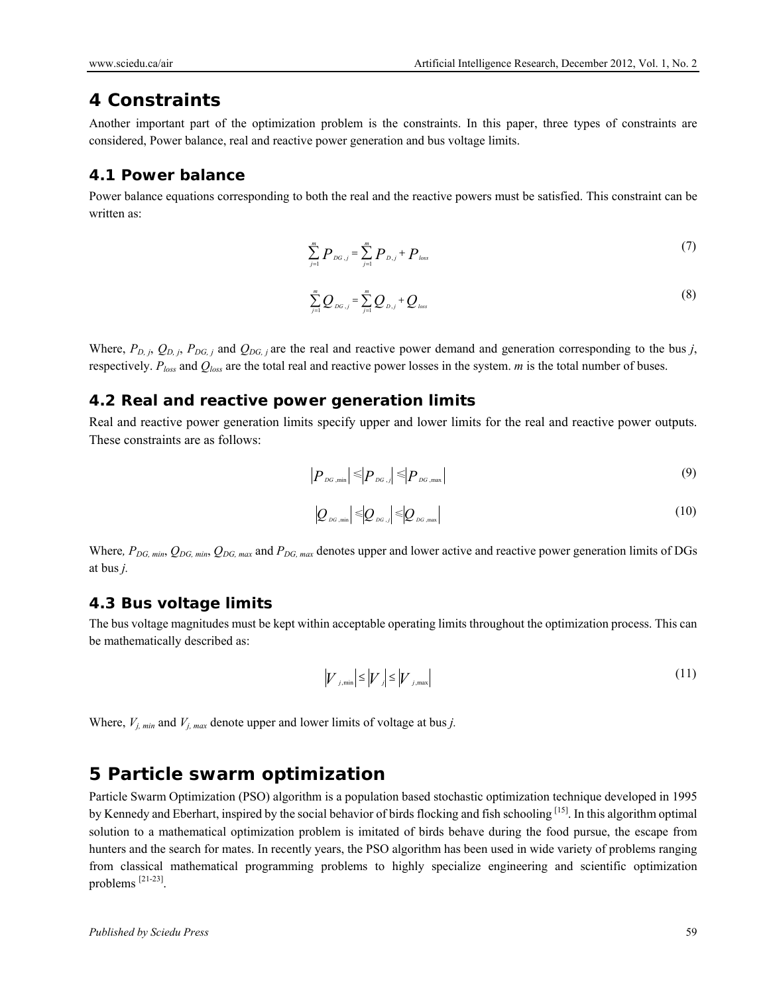## **4 Constraints**

Another important part of the optimization problem is the constraints. In this paper, three types of constraints are considered, Power balance, real and reactive power generation and bus voltage limits.

### **4.1 Power balance**

Power balance equations corresponding to both the real and the reactive powers must be satisfied. This constraint can be written as:

$$
\sum_{j=1}^{m} P_{DG,j} = \sum_{j=1}^{m} P_{D,j} + P_{loss} \tag{7}
$$

$$
\sum_{j=1}^{m} Q_{DG,j} = \sum_{j=1}^{m} Q_{D,j} + Q_{loss}
$$
\n(8)

Where,  $P_{D,j}$ ,  $Q_{D,j}$ ,  $P_{DG,j}$  and  $Q_{DG,j}$  are the real and reactive power demand and generation corresponding to the bus *j*, respectively. *Ploss* and *Qloss* are the total real and reactive power losses in the system. *m* is the total number of buses.

#### **4.2 Real and reactive power generation limits**

Real and reactive power generation limits specify upper and lower limits for the real and reactive power outputs. These constraints are as follows:

$$
|P_{\text{DG,min}}| \leqslant |P_{\text{DG},j}| \leqslant |P_{\text{DG,max}}| \tag{9}
$$

$$
\left|Q_{_{DG\text{ min}}}\right| \leqslant \left|Q_{_{DG\text{ max}}}\right| \leqslant \left|Q_{_{DG\text{ max}}}\right| \tag{10}
$$

Where,  $P_{DG, min}$ ,  $Q_{DG, min}$ ,  $Q_{DG, max}$  and  $P_{DG, max}$  denotes upper and lower active and reactive power generation limits of DGs at bus *j.* 

#### **4.3 Bus voltage limits**

The bus voltage magnitudes must be kept within acceptable operating limits throughout the optimization process. This can be mathematically described as:

$$
\left|V_{j,\min}\right| \leq \left|V_j\right| \leq \left|V_{j,\max}\right| \tag{11}
$$

Where,  $V_{j,min}$  and  $V_{j,max}$  denote upper and lower limits of voltage at bus *j*.

# **5 Particle swarm optimization**

Particle Swarm Optimization (PSO) algorithm is a population based stochastic optimization technique developed in 1995 by Kennedy and Eberhart, inspired by the social behavior of birds flocking and fish schooling [15]. In this algorithm optimal solution to a mathematical optimization problem is imitated of birds behave during the food pursue, the escape from hunters and the search for mates. In recently years, the PSO algorithm has been used in wide variety of problems ranging from classical mathematical programming problems to highly specialize engineering and scientific optimization problems [21-23].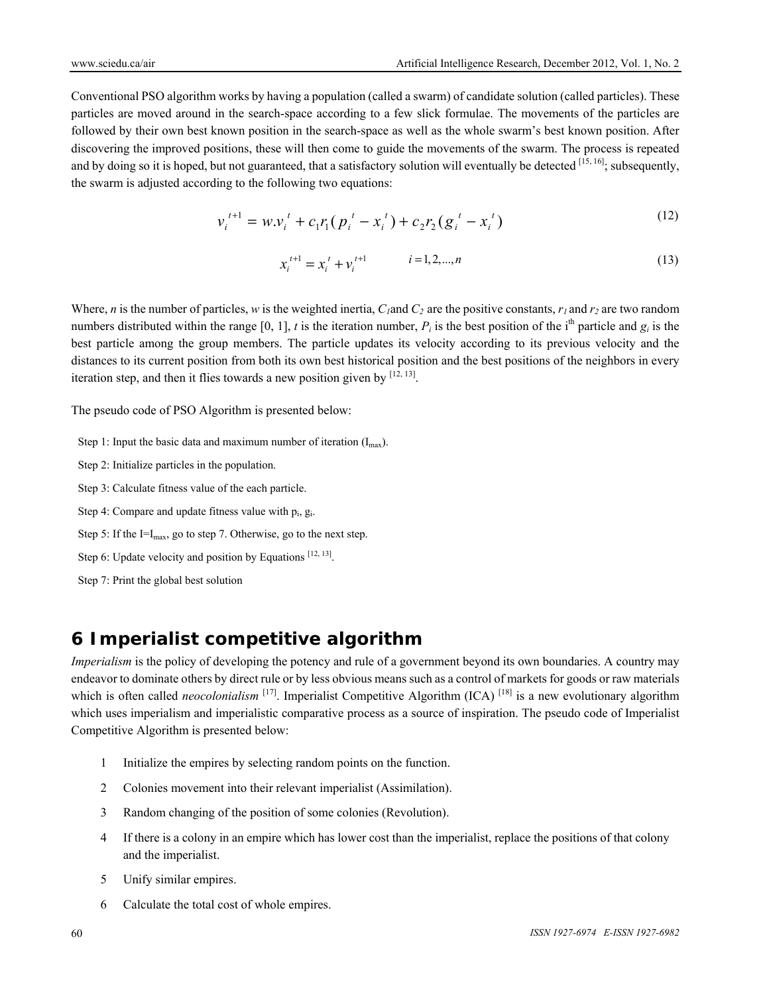Conventional PSO algorithm works by having a population (called a swarm) of candidate solution (called particles). These particles are moved around in the search-space according to a few slick formulae. The movements of the particles are followed by their own best known position in the search-space as well as the whole swarm's best known position. After discovering the improved positions, these will then come to guide the movements of the swarm. The process is repeated and by doing so it is hoped, but not guaranteed, that a satisfactory solution will eventually be detected [15, 16]; subsequently, the swarm is adjusted according to the following two equations:

$$
v_i^{t+1} = w.v_i^t + c_1r_1(p_i^t - x_i^t) + c_2r_2(g_i^t - x_i^t)
$$
\n(12)

$$
x_i^{t+1} = x_i^t + v_i^{t+1} \qquad i = 1, 2, ..., n
$$
\n(13)

Where, *n* is the number of particles, *w* is the weighted inertia,  $C_l$  and  $C_2$  are the positive constants,  $r_l$  and  $r_2$  are two random numbers distributed within the range [0, 1], *t* is the iteration number,  $P_i$  is the best position of the i<sup>th</sup> particle and  $g_i$  is the best particle among the group members. The particle updates its velocity according to its previous velocity and the distances to its current position from both its own best historical position and the best positions of the neighbors in every iteration step, and then it flies towards a new position given by  $[12, 13]$ .

The pseudo code of PSO Algorithm is presented below:

- Step 1: Input the basic data and maximum number of iteration  $(I_{max})$ .
- Step 2: Initialize particles in the population.
- Step 3: Calculate fitness value of the each particle.
- Step 4: Compare and update fitness value with  $p_i$ ,  $g_i$ .
- Step 5: If the  $I=I_{max}$ , go to step 7. Otherwise, go to the next step.
- Step 6: Update velocity and position by Equations [12, 13].
- Step 7: Print the global best solution

# **6 Imperialist competitive algorithm**

*Imperialism* is the policy of developing the potency and rule of a government beyond its own boundaries. A country may endeavor to dominate others by direct rule or by less obvious means such as a control of markets for goods or raw materials which is often called *neocolonialism* <sup>[17]</sup>. Imperialist Competitive Algorithm (ICA) <sup>[18]</sup> is a new evolutionary algorithm which uses imperialism and imperialistic comparative process as a source of inspiration. The pseudo code of Imperialist Competitive Algorithm is presented below:

- 1 Initialize the empires by selecting random points on the function.
- 2 Colonies movement into their relevant imperialist (Assimilation).
- 3 Random changing of the position of some colonies (Revolution).
- 4 If there is a colony in an empire which has lower cost than the imperialist, replace the positions of that colony and the imperialist.
- 5 Unify similar empires.
- 6 Calculate the total cost of whole empires.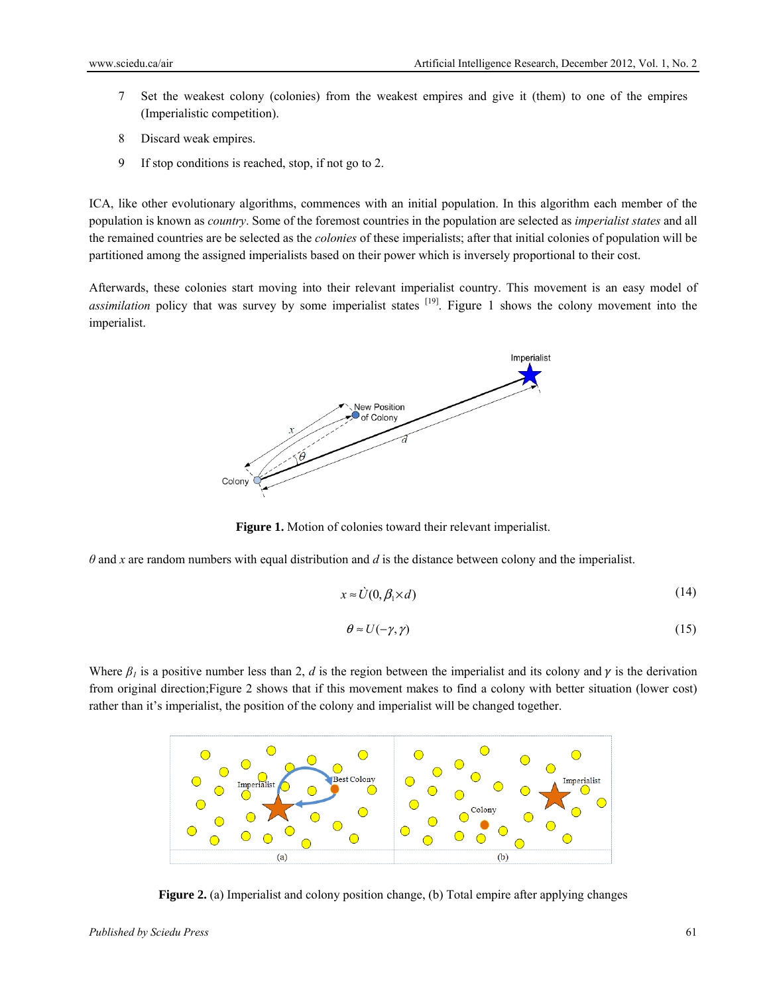- 7 Set the weakest colony (colonies) from the weakest empires and give it (them) to one of the empires (Imperialistic competition).
- 8 Discard weak empires.
- 9 If stop conditions is reached, stop, if not go to 2.

ICA, like other evolutionary algorithms, commences with an initial population. In this algorithm each member of the population is known as *country*. Some of the foremost countries in the population are selected as *imperialist states* and all the remained countries are be selected as the *colonies* of these imperialists; after that initial colonies of population will be partitioned among the assigned imperialists based on their power which is inversely proportional to their cost.

Afterwards, these colonies start moving into their relevant imperialist country. This movement is an easy model of *assimilation* policy that was survey by some imperialist states <sup>[19]</sup>. Figure 1 shows the colony movement into the imperialist.



**Figure 1.** Motion of colonies toward their relevant imperialist.

*θ* and *x* are random numbers with equal distribution and *d* is the distance between colony and the imperialist.

$$
x \approx \dot{U}(0, \beta_1 \times d) \tag{14}
$$

$$
\theta \approx U(-\gamma, \gamma) \tag{15}
$$

Where  $\beta_l$  is a positive number less than 2, *d* is the region between the imperialist and its colony and  $\gamma$  is the derivation from original direction;Figure 2 shows that if this movement makes to find a colony with better situation (lower cost) rather than it's imperialist, the position of the colony and imperialist will be changed together.



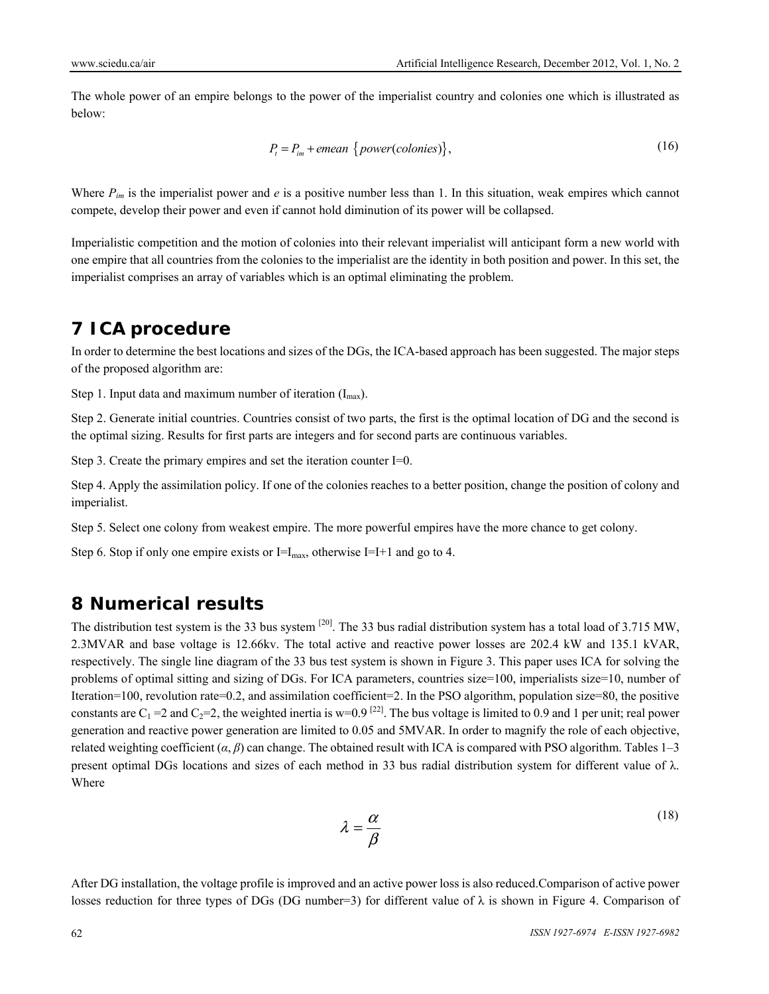The whole power of an empire belongs to the power of the imperialist country and colonies one which is illustrated as below:

$$
P_t = P_{im} + \text{emean } \{ power(colonies) \},\tag{16}
$$

Where *Pim* is the imperialist power and *e* is a positive number less than 1. In this situation, weak empires which cannot compete, develop their power and even if cannot hold diminution of its power will be collapsed.

Imperialistic competition and the motion of colonies into their relevant imperialist will anticipant form a new world with one empire that all countries from the colonies to the imperialist are the identity in both position and power. In this set, the imperialist comprises an array of variables which is an optimal eliminating the problem.

# **7 ICA procedure**

In order to determine the best locations and sizes of the DGs, the ICA-based approach has been suggested. The major steps of the proposed algorithm are:

Step 1. Input data and maximum number of iteration  $(I_{\text{max}})$ .

Step 2. Generate initial countries. Countries consist of two parts, the first is the optimal location of DG and the second is the optimal sizing. Results for first parts are integers and for second parts are continuous variables.

Step 3. Create the primary empires and set the iteration counter I=0.

Step 4. Apply the assimilation policy. If one of the colonies reaches to a better position, change the position of colony and imperialist.

Step 5. Select one colony from weakest empire. The more powerful empires have the more chance to get colony.

Step 6. Stop if only one empire exists or  $I=I_{max}$ , otherwise  $I=I+1$  and go to 4.

## **8 Numerical results**

The distribution test system is the 33 bus system  $[20]$ . The 33 bus radial distribution system has a total load of 3.715 MW, 2.3MVAR and base voltage is 12.66kv. The total active and reactive power losses are 202.4 kW and 135.1 kVAR, respectively. The single line diagram of the 33 bus test system is shown in Figure 3. This paper uses ICA for solving the problems of optimal sitting and sizing of DGs. For ICA parameters, countries size=100, imperialists size=10, number of Iteration=100, revolution rate=0.2, and assimilation coefficient=2. In the PSO algorithm, population size=80, the positive constants are  $C_1 = 2$  and  $C_2 = 2$ , the weighted inertia is w=0.9<sup>[22]</sup>. The bus voltage is limited to 0.9 and 1 per unit; real power generation and reactive power generation are limited to 0.05 and 5MVAR. In order to magnify the role of each objective, related weighting coefficient  $(α, β)$  can change. The obtained result with ICA is compared with PSO algorithm. Tables 1–3 present optimal DGs locations and sizes of each method in 33 bus radial distribution system for different value of λ. Where

$$
\lambda = \frac{\alpha}{\beta} \tag{18}
$$

After DG installation, the voltage profile is improved and an active power loss is also reduced.Comparison of active power losses reduction for three types of DGs (DG number=3) for different value of  $\lambda$  is shown in Figure 4. Comparison of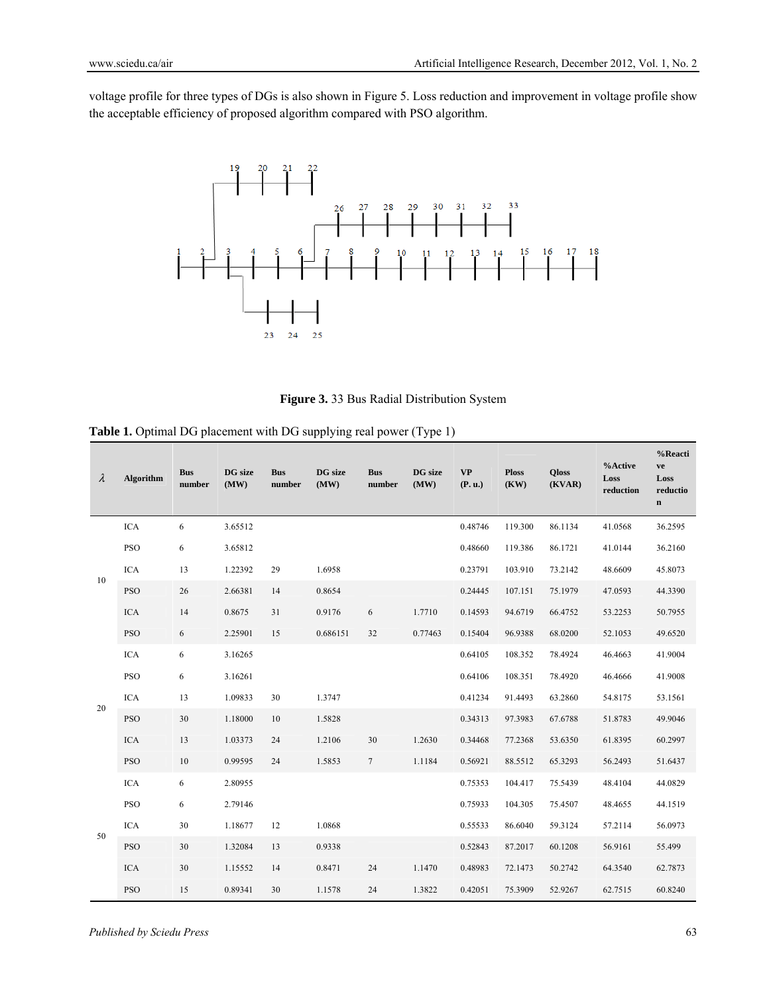voltage profile for three types of DGs is also shown in Figure 5. Loss reduction and improvement in voltage profile show the acceptable efficiency of proposed algorithm compared with PSO algorithm.



**Figure 3.** 33 Bus Radial Distribution System

| $\lambda$ | Algorithm  | <b>Bus</b><br>number | <b>DG</b> size<br>(MW) | <b>Bus</b><br>number | DG size<br>(MW) | <b>Bus</b><br>number | DG size<br>(MW) | <b>VP</b><br>(P. u.) | <b>Ploss</b><br>(KW) | <b>Oloss</b><br>(KVAR) | %Active<br>Loss<br>reduction | %Reacti<br>ve<br>Loss<br>reductio<br>$\mathbf n$ |
|-----------|------------|----------------------|------------------------|----------------------|-----------------|----------------------|-----------------|----------------------|----------------------|------------------------|------------------------------|--------------------------------------------------|
| 10        | <b>ICA</b> | 6                    | 3.65512                |                      |                 |                      |                 | 0.48746              | 119.300              | 86.1134                | 41.0568                      | 36.2595                                          |
|           | <b>PSO</b> | 6                    | 3.65812                |                      |                 |                      |                 | 0.48660              | 119.386              | 86.1721                | 41.0144                      | 36.2160                                          |
|           | <b>ICA</b> | 13                   | 1.22392                | 29                   | 1.6958          |                      |                 | 0.23791              | 103.910              | 73.2142                | 48.6609                      | 45.8073                                          |
|           | <b>PSO</b> | 26                   | 2.66381                | 14                   | 0.8654          |                      |                 | 0.24445              | 107.151              | 75.1979                | 47.0593                      | 44.3390                                          |
|           | <b>ICA</b> | 14                   | 0.8675                 | 31                   | 0.9176          | 6                    | 1.7710          | 0.14593              | 94.6719              | 66.4752                | 53.2253                      | 50.7955                                          |
|           | <b>PSO</b> | 6                    | 2.25901                | 15                   | 0.686151        | 32                   | 0.77463         | 0.15404              | 96.9388              | 68.0200                | 52.1053                      | 49.6520                                          |
| 20        | <b>ICA</b> | 6                    | 3.16265                |                      |                 |                      |                 | 0.64105              | 108.352              | 78.4924                | 46.4663                      | 41.9004                                          |
|           | <b>PSO</b> | 6                    | 3.16261                |                      |                 |                      |                 | 0.64106              | 108.351              | 78.4920                | 46.4666                      | 41.9008                                          |
|           | <b>ICA</b> | 13                   | 1.09833                | 30                   | 1.3747          |                      |                 | 0.41234              | 91.4493              | 63.2860                | 54.8175                      | 53.1561                                          |
|           | <b>PSO</b> | 30                   | 1.18000                | 10                   | 1.5828          |                      |                 | 0.34313              | 97.3983              | 67.6788                | 51.8783                      | 49.9046                                          |
|           | <b>ICA</b> | 13                   | 1.03373                | 24                   | 1.2106          | 30                   | 1.2630          | 0.34468              | 77.2368              | 53.6350                | 61.8395                      | 60.2997                                          |
|           | <b>PSO</b> | 10                   | 0.99595                | 24                   | 1.5853          | $7\overline{ }$      | 1.1184          | 0.56921              | 88.5512              | 65.3293                | 56.2493                      | 51.6437                                          |
|           | <b>ICA</b> | 6                    | 2.80955                |                      |                 |                      |                 | 0.75353              | 104.417              | 75.5439                | 48.4104                      | 44.0829                                          |
|           | <b>PSO</b> | 6                    | 2.79146                |                      |                 |                      |                 | 0.75933              | 104.305              | 75.4507                | 48.4655                      | 44.1519                                          |
| 50        | <b>ICA</b> | 30                   | 1.18677                | 12                   | 1.0868          |                      |                 | 0.55533              | 86.6040              | 59.3124                | 57.2114                      | 56.0973                                          |
|           | <b>PSO</b> | 30                   | 1.32084                | 13                   | 0.9338          |                      |                 | 0.52843              | 87.2017              | 60.1208                | 56.9161                      | 55.499                                           |
|           | <b>ICA</b> | 30                   | 1.15552                | 14                   | 0.8471          | 24                   | 1.1470          | 0.48983              | 72.1473              | 50.2742                | 64.3540                      | 62.7873                                          |
|           | <b>PSO</b> | 15                   | 0.89341                | 30                   | 1.1578          | 24                   | 1.3822          | 0.42051              | 75.3909              | 52.9267                | 62.7515                      | 60.8240                                          |

Table 1. Optimal DG placement with DG supplying real power (Type 1)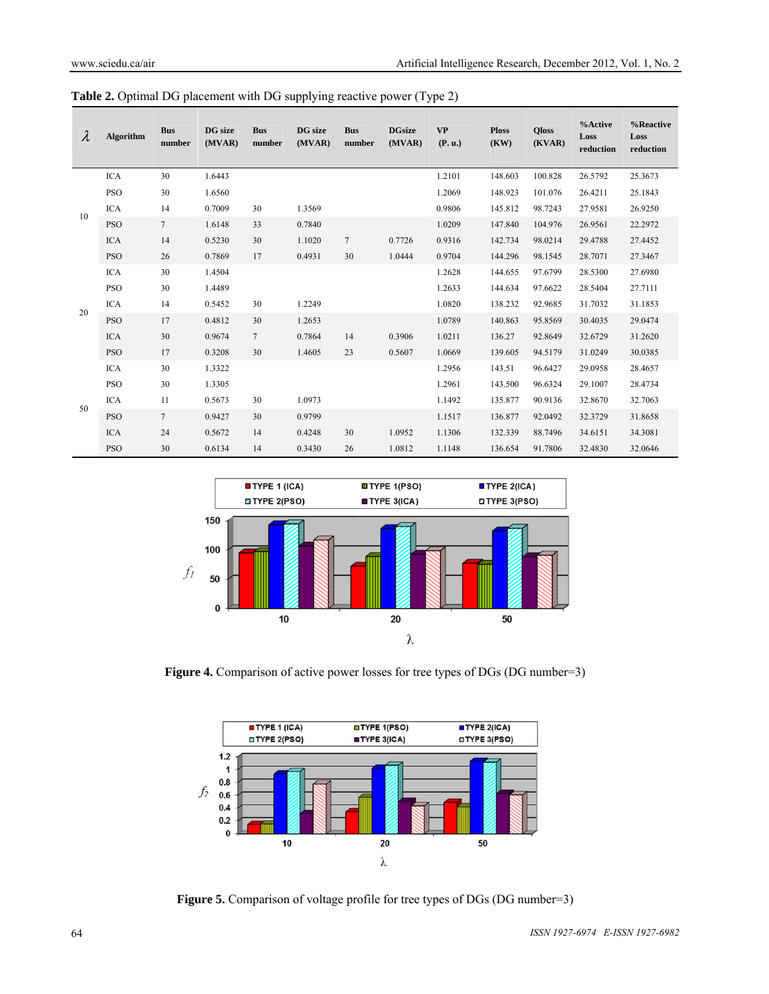| $\lambda$ | Algorithm  | <b>Bus</b><br>number | DG size<br>(MVAR) | <b>Bus</b><br>number | <b>DG</b> size<br>(MVAR) | <b>Bus</b><br>number | <b>DGsize</b><br>(MVAR) | <b>VP</b><br>(P, u) | <b>Ploss</b><br>(KW) | <b>Oloss</b><br>(KVAR) | %Active<br>Loss<br>reduction | %Reactive<br>Loss<br>reduction |
|-----------|------------|----------------------|-------------------|----------------------|--------------------------|----------------------|-------------------------|---------------------|----------------------|------------------------|------------------------------|--------------------------------|
|           | <b>ICA</b> | 30                   | 1.6443            |                      |                          |                      |                         | 1.2101              | 148.603              | 100.828                | 26.5792                      | 25.3673                        |
|           | <b>PSO</b> | 30                   | 1.6560            |                      |                          |                      |                         | 1.2069              | 148.923              | 101.076                | 26.4211                      | 25.1843                        |
| 10        | <b>ICA</b> | 14                   | 0.7009            | 30                   | 1.3569                   |                      |                         | 0.9806              | 145.812              | 98.7243                | 27.9581                      | 26.9250                        |
|           | <b>PSO</b> | $\tau$               | 1.6148            | 33                   | 0.7840                   |                      |                         | 1.0209              | 147.840              | 104.976                | 26.9561                      | 22.2972                        |
|           | <b>ICA</b> | 14                   | 0.5230            | 30                   | 1.1020                   | $\tau$               | 0.7726                  | 0.9316              | 142.734              | 98.0214                | 29.4788                      | 27.4452                        |
|           | <b>PSO</b> | 26                   | 0.7869            | 17                   | 0.4931                   | 30                   | 1.0444                  | 0.9704              | 144.296              | 98.1545                | 28.7071                      | 27.3467                        |
|           | <b>ICA</b> | 30                   | 1.4504            |                      |                          |                      |                         | 1.2628              | 144.655              | 97.6799                | 28.5300                      | 27.6980                        |
|           | <b>PSO</b> | 30                   | 1.4489            |                      |                          |                      |                         | 1.2633              | 144.634              | 97.6622                | 28.5404                      | 27.7111                        |
|           | <b>ICA</b> | 14                   | 0.5452            | 30                   | 1.2249                   |                      |                         | 1.0820              | 138.232              | 92.9685                | 31.7032                      | 31.1853                        |
| 20        | <b>PSO</b> | 17                   | 0.4812            | 30                   | 1.2653                   |                      |                         | 1.0789              | 140.863              | 95.8569                | 30.4035                      | 29.0474                        |
|           | <b>ICA</b> | 30                   | 0.9674            | $7\phantom{.0}$      | 0.7864                   | 14                   | 0.3906                  | 1.0211              | 136.27               | 92.8649                | 32.6729                      | 31.2620                        |
|           | <b>PSO</b> | 17                   | 0.3208            | 30                   | 1.4605                   | 23                   | 0.5607                  | 1.0669              | 139.605              | 94.5179                | 31.0249                      | 30.0385                        |
|           | <b>ICA</b> | 30                   | 1.3322            |                      |                          |                      |                         | 1.2956              | 143.51               | 96.6427                | 29.0958                      | 28.4657                        |
|           | <b>PSO</b> | 30                   | 1.3305            |                      |                          |                      |                         | 1.2961              | 143.500              | 96.6324                | 29.1007                      | 28.4734                        |
|           | <b>ICA</b> | 11                   | 0.5673            | 30                   | 1.0973                   |                      |                         | 1.1492              | 135.877              | 90.9136                | 32.8670                      | 32.7063                        |
| 50        | <b>PSO</b> | $\overline{7}$       | 0.9427            | 30                   | 0.9799                   |                      |                         | 1.1517              | 136.877              | 92.0492                | 32.3729                      | 31.8658                        |
|           | <b>ICA</b> | 24                   | 0.5672            | 14                   | 0.4248                   | 30                   | 1.0952                  | 1.1306              | 132.339              | 88.7496                | 34.6151                      | 34.3081                        |
|           | <b>PSO</b> | 30                   | 0.6134            | 14                   | 0.3430                   | 26                   | 1.0812                  | 1.1148              | 136.654              | 91.7806                | 32.4830                      | 32.0646                        |

Table 2. Optimal DG placement with DG supplying reactive power (Type 2)



**Figure 4.** Comparison of active power losses for tree types of DGs (DG number=3)



**Figure 5.** Comparison of voltage profile for tree types of DGs (DG number=3)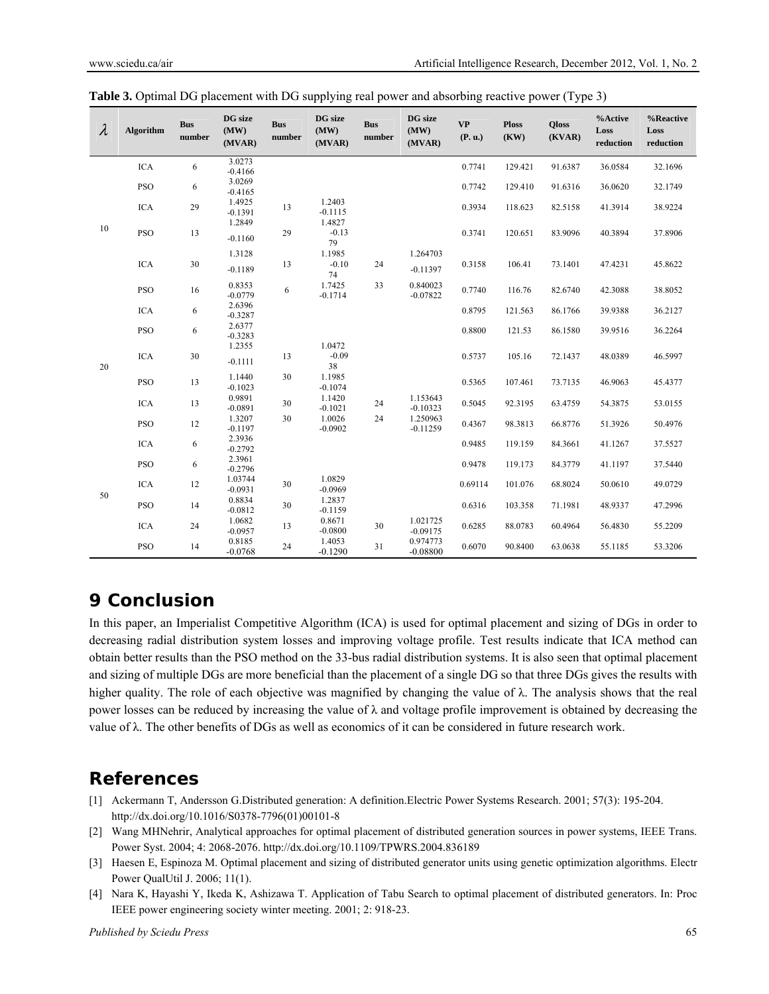| $\lambda$ | Algorithm  | <b>Bus</b><br>number | DG size<br>(MW)<br>(MVAR) | <b>Bus</b><br>number | DG size<br>(MW)<br>(MVAR) | <b>Bus</b><br>number | DG size<br>(MW)<br>(MVAR) | <b>VP</b><br>(P. u.) | <b>Ploss</b><br>(KW) | <b>Oloss</b><br>(KVAR) | %Active<br><b>Loss</b><br>reduction | %Reactive<br>Loss<br>reduction |
|-----------|------------|----------------------|---------------------------|----------------------|---------------------------|----------------------|---------------------------|----------------------|----------------------|------------------------|-------------------------------------|--------------------------------|
|           | <b>ICA</b> | 6                    | 3.0273<br>$-0.4166$       |                      |                           |                      |                           | 0.7741               | 129.421              | 91.6387                | 36.0584                             | 32.1696                        |
|           | PSO        | 6                    | 3.0269<br>$-0.4165$       |                      |                           |                      |                           | 0.7742               | 129.410              | 91.6316                | 36.0620                             | 32.1749                        |
|           | <b>ICA</b> | 29                   | 1.4925<br>$-0.1391$       | 13                   | 1.2403<br>$-0.1115$       |                      |                           | 0.3934               | 118.623              | 82.5158                | 41.3914                             | 38.9224                        |
| 10        | <b>PSO</b> | 13                   | 1.2849<br>$-0.1160$       | 29                   | 1.4827<br>$-0.13$<br>79   |                      |                           | 0.3741               | 120.651              | 83.9096                | 40.3894                             | 37.8906                        |
|           |            |                      | 1.3128                    |                      | 1.1985                    |                      | 1.264703                  |                      |                      |                        |                                     |                                |
|           | <b>ICA</b> | 30                   | $-0.1189$                 | 13                   | $-0.10$<br>74             | 24                   | $-0.11397$                | 0.3158               | 106.41               | 73.1401                | 47.4231                             | 45.8622                        |
|           | PSO        | 16                   | 0.8353<br>$-0.0779$       | 6                    | 1.7425<br>$-0.1714$       | 33                   | 0.840023<br>$-0.07822$    | 0.7740               | 116.76               | 82.6740                | 42.3088                             | 38.8052                        |
|           | <b>ICA</b> | 6                    | 2.6396<br>$-0.3287$       |                      |                           |                      |                           | 0.8795               | 121.563              | 86.1766                | 39.9388                             | 36.2127                        |
|           | <b>PSO</b> | 6                    | 2.6377<br>$-0.3283$       |                      |                           |                      |                           | 0.8800               | 121.53               | 86.1580                | 39.9516                             | 36.2264                        |
| 20        | <b>ICA</b> | 30                   | 1.2355<br>$-0.1111$       | 13                   | 1.0472<br>$-0.09$<br>38   |                      |                           | 0.5737               | 105.16               | 72.1437                | 48.0389                             | 46.5997                        |
|           | <b>PSO</b> | 13                   | 1.1440<br>$-0.1023$       | 30                   | 1.1985<br>$-0.1074$       |                      |                           | 0.5365               | 107.461              | 73.7135                | 46.9063                             | 45.4377                        |
|           | <b>ICA</b> | 13                   | 0.9891<br>$-0.0891$       | 30                   | 1.1420<br>$-0.1021$       | 24                   | 1.153643<br>$-0.10323$    | 0.5045               | 92.3195              | 63.4759                | 54.3875                             | 53.0155                        |
|           | <b>PSO</b> | 12                   | 1.3207<br>$-0.1197$       | 30                   | 1.0026<br>$-0.0902$       | 24                   | 1.250963<br>$-0.11259$    | 0.4367               | 98.3813              | 66.8776                | 51.3926                             | 50.4976                        |
|           | <b>ICA</b> | 6                    | 2.3936<br>$-0.2792$       |                      |                           |                      |                           | 0.9485               | 119.159              | 84.3661                | 41.1267                             | 37.5527                        |
|           | <b>PSO</b> | 6                    | 2.3961<br>$-0.2796$       |                      |                           |                      |                           | 0.9478               | 119.173              | 84.3779                | 41.1197                             | 37.5440                        |
| 50        | <b>ICA</b> | 12                   | 1.03744<br>$-0.0931$      | 30                   | 1.0829<br>$-0.0969$       |                      |                           | 0.69114              | 101.076              | 68.8024                | 50.0610                             | 49.0729                        |
|           | <b>PSO</b> | 14                   | 0.8834<br>$-0.0812$       | 30                   | 1.2837<br>$-0.1159$       |                      |                           | 0.6316               | 103.358              | 71.1981                | 48.9337                             | 47.2996                        |
|           | <b>ICA</b> | 24                   | 1.0682<br>$-0.0957$       | 13                   | 0.8671<br>$-0.0800$       | 30                   | 1.021725<br>$-0.09175$    | 0.6285               | 88.0783              | 60.4964                | 56.4830                             | 55.2209                        |
|           | <b>PSO</b> | 14                   | 0.8185<br>$-0.0768$       | 24                   | 1.4053<br>$-0.1290$       | 31                   | 0.974773<br>$-0.08800$    | 0.6070               | 90.8400              | 63.0638                | 55.1185                             | 53.3206                        |

| <b>Table 3.</b> Optimal DG placement with DG supplying real power and absorbing reactive power (Type 3) |  |  |  |  |  |
|---------------------------------------------------------------------------------------------------------|--|--|--|--|--|
|---------------------------------------------------------------------------------------------------------|--|--|--|--|--|

# **9 Conclusion**

In this paper, an Imperialist Competitive Algorithm (ICA) is used for optimal placement and sizing of DGs in order to decreasing radial distribution system losses and improving voltage profile. Test results indicate that ICA method can obtain better results than the PSO method on the 33-bus radial distribution systems. It is also seen that optimal placement and sizing of multiple DGs are more beneficial than the placement of a single DG so that three DGs gives the results with higher quality. The role of each objective was magnified by changing the value of  $\lambda$ . The analysis shows that the real power losses can be reduced by increasing the value of  $\lambda$  and voltage profile improvement is obtained by decreasing the value of  $\lambda$ . The other benefits of DGs as well as economics of it can be considered in future research work.

## **References**

- [1] Ackermann T, Andersson G.Distributed generation: A definition.Electric Power Systems Research. 2001; 57(3): 195-204. http://dx.doi.org/10.1016/S0378-7796(01)00101-8
- [2] Wang MHNehrir, Analytical approaches for optimal placement of distributed generation sources in power systems, IEEE Trans. Power Syst. 2004; 4: 2068-2076. http://dx.doi.org/10.1109/TPWRS.2004.836189
- [3] Haesen E, Espinoza M. Optimal placement and sizing of distributed generator units using genetic optimization algorithms. Electr Power QualUtil J. 2006; 11(1).
- [4] Nara K, Hayashi Y, Ikeda K, Ashizawa T. Application of Tabu Search to optimal placement of distributed generators. In: Proc IEEE power engineering society winter meeting. 2001; 2: 918-23.